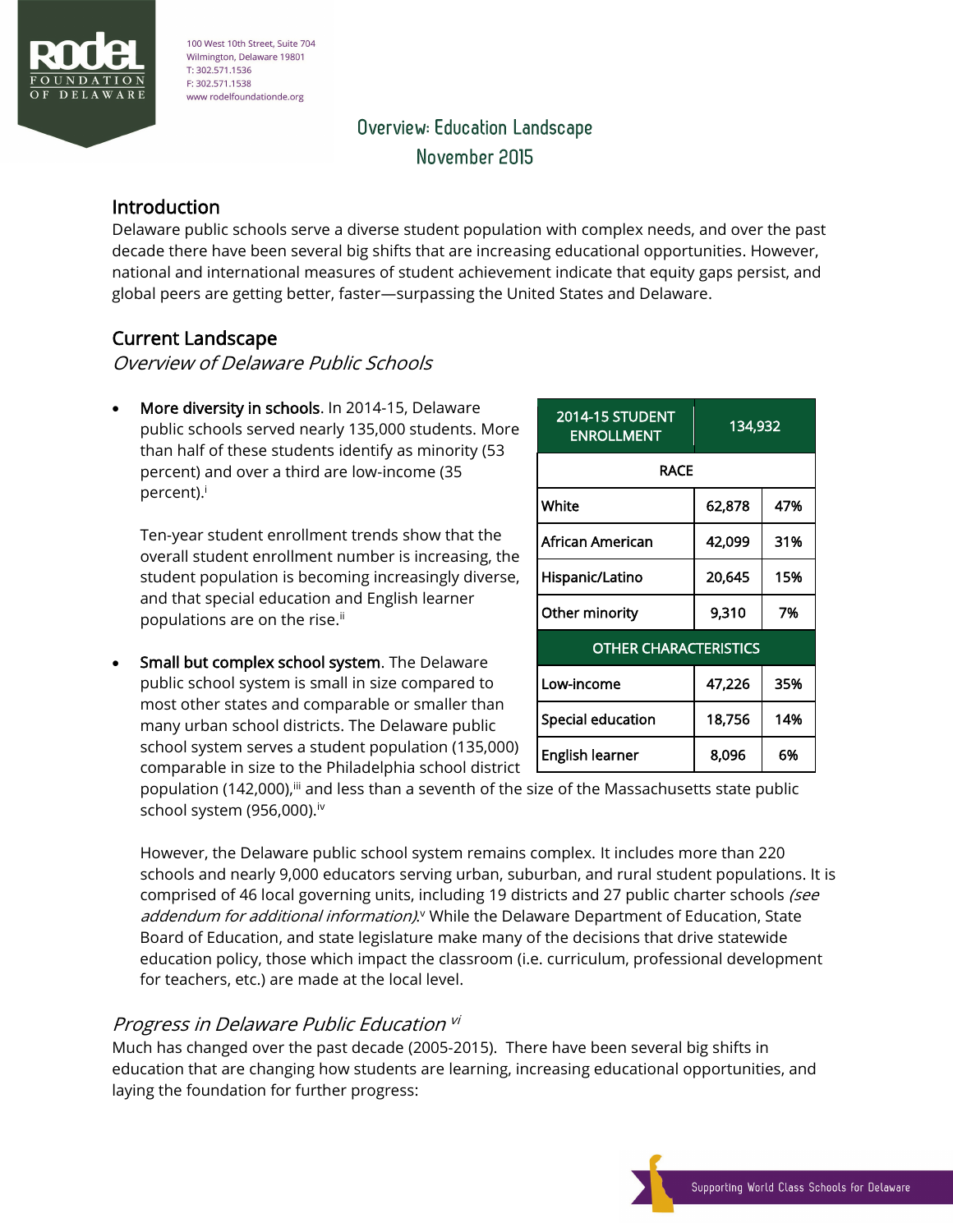

100 West 10th Street, Suite 704 Wilmington, Delaware 19801 T: 302.571.1536 F: 302.571.1538 www rodelfoundationde.org

# Overview: Education Landscape November 2015

### Introduction

Delaware public schools serve a diverse student population with complex needs, and over the past decade there have been several big shifts that are increasing educational opportunities. However, national and international measures of student achievement indicate that equity gaps persist, and global peers are getting better, faster—surpassing the United States and Delaware.

## Current Landscape

Overview of Delaware Public Schools

 More diversity in schools. In 2014-15, Delaware public schools served nearly 135,000 students. More than half of these students identify as minority (53 percent) and over a third are low-income (35 percent).<sup>i</sup>

Ten-year student enrollment trends show that the overall student enrollment number is increasing, the student population is becoming increasingly diverse, and that special education and English learner populations are on the rise.<sup>ii</sup>

 Small but complex school system. The Delaware public school system is small in size compared to most other states and comparable or smaller than many urban school districts. The Delaware public school system serves a student population (135,000) comparable in size to the Philadelphia school district

| <b>2014-15 STUDENT</b><br><b>ENROLLMENT</b> | 134,932 |     |  |  |
|---------------------------------------------|---------|-----|--|--|
| RACE                                        |         |     |  |  |
| White                                       | 62,878  | 47% |  |  |
| African American                            | 42,099  | 31% |  |  |
| Hispanic/Latino                             | 20,645  | 15% |  |  |
| Other minority                              | 9,310   | 7%  |  |  |
| <b>OTHER CHARACTERISTICS</b>                |         |     |  |  |
| Low-income                                  | 47,226  | 35% |  |  |
| Special education                           | 18,756  | 14% |  |  |
| English learner                             | 8,096   | 6%  |  |  |

population  $(142,000)$ ,<sup>ii</sup> and less than a seventh of the size of the Massachusetts state public school system (956,000).iv

However, the Delaware public school system remains complex. It includes more than 220 schools and nearly 9,000 educators serving urban, suburban, and rural student populations. It is comprised of 46 local governing units, including 19 districts and 27 public charter schools (see addendum for additional information). While the Delaware Department of Education, State Board of Education, and state legislature make many of the decisions that drive statewide education policy, those which impact the classroom (i.e. curriculum, professional development for teachers, etc.) are made at the local level.

### Progress in Delaware Public Education <sup>vi</sup>

Much has changed over the past decade (2005-2015). There have been several big shifts in education that are changing how students are learning, increasing educational opportunities, and laying the foundation for further progress:

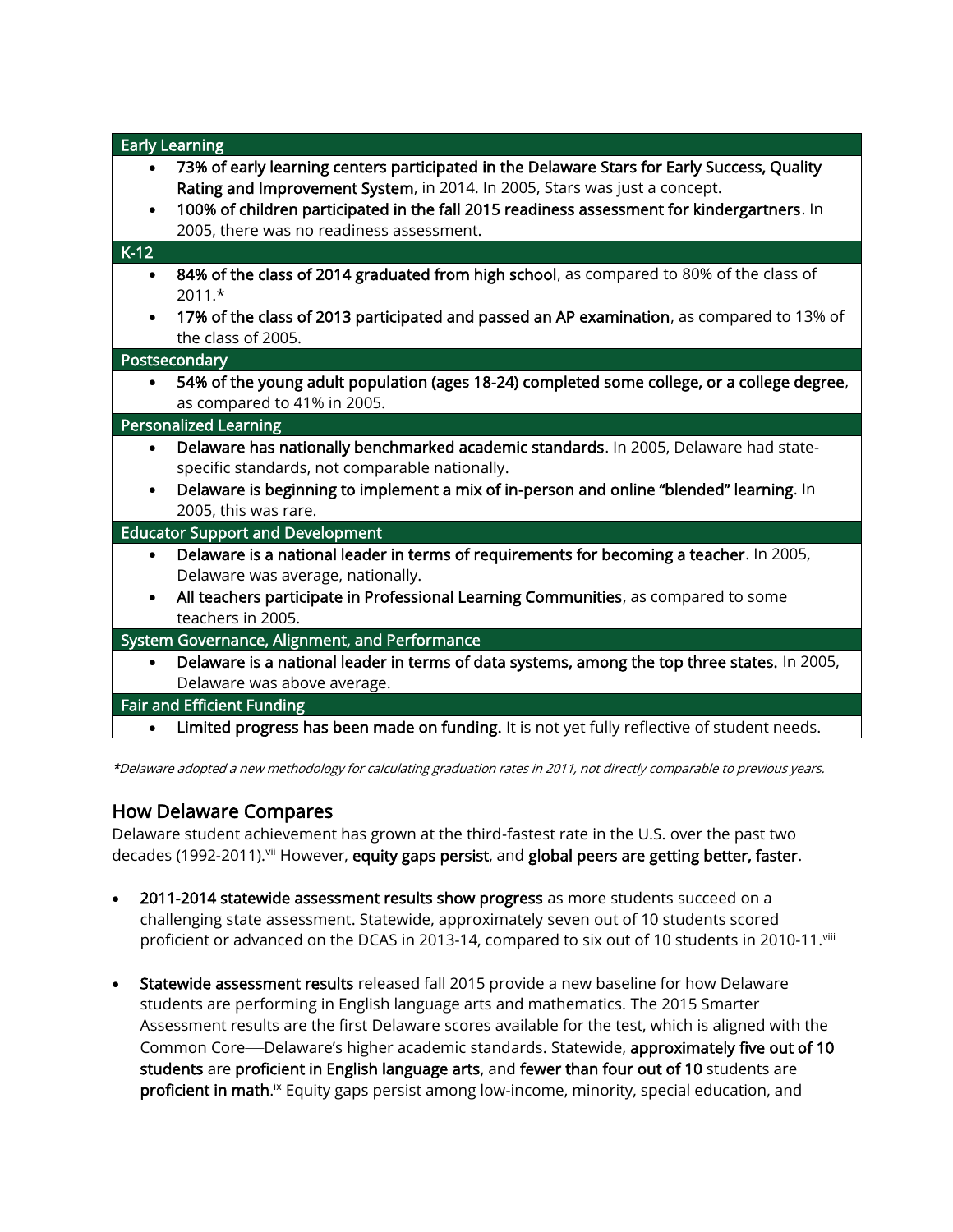| <b>Early Learning</b>                                                                                                                                                                                                                                                                                                                         |
|-----------------------------------------------------------------------------------------------------------------------------------------------------------------------------------------------------------------------------------------------------------------------------------------------------------------------------------------------|
| 73% of early learning centers participated in the Delaware Stars for Early Success, Quality<br>$\bullet$<br>Rating and Improvement System, in 2014. In 2005, Stars was just a concept.<br>100% of children participated in the fall 2015 readiness assessment for kindergartners. In<br>$\bullet$<br>2005, there was no readiness assessment. |
| $K-12$                                                                                                                                                                                                                                                                                                                                        |
| 84% of the class of 2014 graduated from high school, as compared to 80% of the class of<br>٠<br>$2011.*$                                                                                                                                                                                                                                      |
| 17% of the class of 2013 participated and passed an AP examination, as compared to 13% of<br>$\bullet$<br>the class of 2005.                                                                                                                                                                                                                  |
| Postsecondary                                                                                                                                                                                                                                                                                                                                 |
| 54% of the young adult population (ages 18-24) completed some college, or a college degree,<br>as compared to 41% in 2005.                                                                                                                                                                                                                    |
| <b>Personalized Learning</b>                                                                                                                                                                                                                                                                                                                  |
| Delaware has nationally benchmarked academic standards. In 2005, Delaware had state-<br>$\bullet$<br>specific standards, not comparable nationally.                                                                                                                                                                                           |
| Delaware is beginning to implement a mix of in-person and online "blended" learning. In<br>$\bullet$<br>2005, this was rare.                                                                                                                                                                                                                  |
| <b>Educator Support and Development</b>                                                                                                                                                                                                                                                                                                       |
| Delaware is a national leader in terms of requirements for becoming a teacher. In 2005,<br>$\bullet$<br>Delaware was average, nationally.                                                                                                                                                                                                     |
| All teachers participate in Professional Learning Communities, as compared to some<br>$\bullet$<br>teachers in 2005.                                                                                                                                                                                                                          |
| System Governance, Alignment, and Performance                                                                                                                                                                                                                                                                                                 |
| Delaware is a national leader in terms of data systems, among the top three states. In 2005,<br>$\bullet$<br>Delaware was above average.                                                                                                                                                                                                      |
| <b>Fair and Efficient Funding</b>                                                                                                                                                                                                                                                                                                             |

Limited progress has been made on funding. It is not yet fully reflective of student needs.

\*Delaware adopted a new methodology for calculating graduation rates in 2011, not directly comparable to previous years.

# How Delaware Compares

Delaware student achievement has grown at the third-fastest rate in the U.S. over the past two decades (1992-2011).<sup>vii</sup> However, equity gaps persist, and global peers are getting better, faster.

- 2011-2014 statewide assessment results show progress as more students succeed on a challenging state assessment. Statewide, approximately seven out of 10 students scored proficient or advanced on the DCAS in 2013-14, compared to six out of 10 students in 2010-11.viii
- Statewide assessment results released fall 2015 provide a new baseline for how Delaware students are performing in English language arts and mathematics. The 2015 Smarter Assessment results are the first Delaware scores available for the test, which is aligned with the Common Core—Delaware's higher academic standards. Statewide, approximately five out of 10 students are proficient in English language arts, and fewer than four out of 10 students are proficient in math.<sup>ix</sup> Equity gaps persist among low-income, minority, special education, and